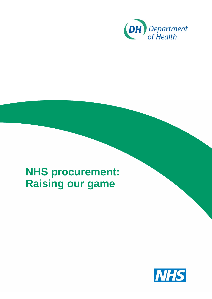

## <span id="page-0-0"></span>**NHS procurement: Raising our game**

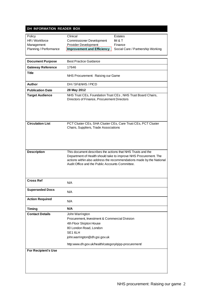### **DH INFORMATION READER BOX**

| Policy                   | Clinical                                                      | Estates                                                      |  |
|--------------------------|---------------------------------------------------------------|--------------------------------------------------------------|--|
| HR / Workforce           | <b>Commissioner Development</b>                               | IM & T                                                       |  |
| Management               | Provider Development                                          | Finance                                                      |  |
| Planning / Performance   | <b>Improvement and Efficiency</b>                             | Social Care / Partnership Working                            |  |
|                          |                                                               |                                                              |  |
|                          |                                                               |                                                              |  |
| <b>Document Purpose</b>  | <b>Best Practice Guidance</b>                                 |                                                              |  |
| <b>Gateway Reference</b> | 17646                                                         |                                                              |  |
| <b>Title</b>             | NHS Procurement: Raising our Game                             |                                                              |  |
| Author                   | DH / SF&NHS / PICD                                            |                                                              |  |
| <b>Publication Date</b>  | 28 May 2012                                                   |                                                              |  |
| <b>Target Audience</b>   | Directors of Finance, Procurement Directors                   | NHS Trust CEs, Foundation Trust CEs, NHS Trust Board Chairs, |  |
| <b>Circulation List</b>  | PCT Cluster CEs, SHA Cluster CEs, Care Trust CEs, PCT Cluster |                                                              |  |

| t <b>ion List</b> | PCT Cluster CEs, SHA Cluster CEs, Care Trust CEs, PCT Cluster |
|-------------------|---------------------------------------------------------------|
|                   | Chairs, Suppliers, Trade Associations                         |
|                   |                                                               |

| <b>Description</b>     | This document describes the actions that NHS Trusts and the<br>Department of Health should take to improve NHS Procurement. The<br>actions within also address the recommendations made by the National<br>Audit Office and the Public Accounts Committee. |
|------------------------|------------------------------------------------------------------------------------------------------------------------------------------------------------------------------------------------------------------------------------------------------------|
| <b>Cross Ref</b>       | N/A                                                                                                                                                                                                                                                        |
| <b>Superseded Docs</b> | $N1/\Lambda$                                                                                                                                                                                                                                               |

| <b>OUDELSEURY DUCS</b>     | N/A                                                  |
|----------------------------|------------------------------------------------------|
| <b>Action Required</b>     | N/A                                                  |
| <b>Timing</b>              | N/A                                                  |
| <b>Contact Details</b>     | John Warrington                                      |
|                            | Procurement, Investment & Commercial Division        |
|                            | 4th Floor Skipton House                              |
|                            | 80 London Road, London                               |
|                            | SE <sub>16LH</sub>                                   |
|                            | john.warrington@dh.gsi.gov.uk                        |
|                            | http:www.dh.gov.uk/health/category/qipp-procurement/ |
| <b>For Recipient's Use</b> |                                                      |
|                            |                                                      |
|                            |                                                      |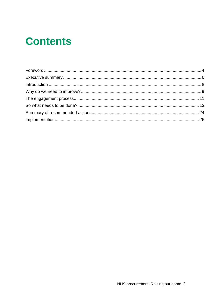# **Contents**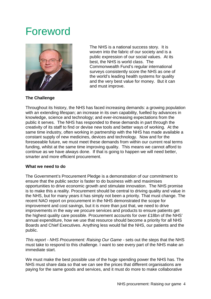### <span id="page-3-0"></span>Foreword



The NHS is a national success story. It is woven into the fabric of our society and is a public expression of our social values. At its best, the NHS is world class. The Commonwealth Fund's regular international surveys consistently score the NHS as one of the world's leading health systems for quality and the very best value for money. But it can and must improve.

#### **The Challenge**

Throughout its history, the NHS has faced increasing demands: a growing population with an extending lifespan; an increase in its own capability, fuelled by advances in knowledge, science and technology; and ever-increasing expectations from the public it serves. The NHS has responded to these demands in part through the creativity of its staff to find or devise new tools and better ways of working. At the same time industry, often working in partnership with the NHS has made available a constant supply of new medicines, devices and technology. Now and for the foreseeable future, we must meet these demands from within our current real terms funding, whilst at the same time improving quality. This means we cannot afford to continue as we have always done. If that is going to happen we will need better, smarter and more efficient procurement.

#### **What we need to do**

The Government's Procurement Pledge is a demonstration of our commitment to ensure that the public sector is faster to do business with and maximises opportunities to drive economic growth and stimulate innovation. The NHS promise is to make this a reality. Procurement should be central to driving quality and value in the NHS, but for many years it has simply not been a priority. That must change. The recent NAO report on procurement in the NHS demonstrated the scope for improvement and cost savings, but it is more than just that, we need to drive improvements in the way we procure services and products to ensure patients get the highest quality care possible. Procurement accounts for over £18bn of the NHS' annual expenditure, how we use that resource should become a priority for all NHS Boards and Chief Executives. Anything less would fail the NHS, our patients and the public.

*This report - NHS Procurement: Raising Our Game -* sets out the steps that the NHS must take to respond to this challenge. I want to see every part of the NHS make an immediate start.

We must make the best possible use of the huge spending power the NHS has. The NHS must share data so that we can see the prices that different organisations are paying for the same goods and services, and it must do more to make collaborative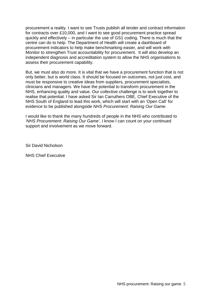procurement a reality. I want to see Trusts publish all tender and contract information for contracts over £10,000, and I want to see good procurement practice spread quickly and effectively – in particular the use of GS1 coding. There is much that the centre can do to help. The Department of Health will create a dashboard of procurement indicators to help make benchmarking easier, and will work with Monitor to strengthen Trust accountability for procurement. It will also develop an independent diagnosis and accreditation system to allow the NHS organisations to assess their procurement capability.

But, we must also do more. It is vital that we have a procurement function that is not only better, but is world class. It should be focused on outcomes, not just cost, and must be responsive to creative ideas from suppliers, procurement specialists, clinicians and managers. We have the potential to transform procurement in the NHS, enhancing quality and value. Our collective challenge is to work together to realise that potential. I have asked Sir Ian Carruthers OBE, Chief Executive of the NHS South of England to lead this work, which will start with an 'Open Call' for evidence to be published alongside *NHS Procurement: Raising Our Game*.

I would like to thank the many hundreds of people in the NHS who contributed to *'NHS Procurement: Raising Our Game'*, I know I can count on your continued support and involvement as we move forward.

Sir David Nicholson

NHS Chief Executive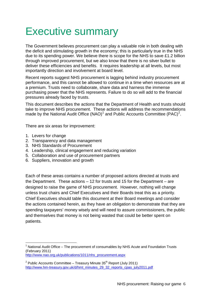### <span id="page-5-0"></span>Executive summary

The Government believes procurement can play a valuable role in both dealing with the deficit and stimulating growth in the economy; this is particularly true in the NHS due to its spending power. We believe there is scope for the NHS to save £1.2 billion through improved procurement, but we also know that there is no silver bullet to deliver these efficiencies and benefits. It requires leadership at all levels, but most importantly direction and involvement at board level.

Recent reports suggest NHS procurement is lagging behind industry procurement performance, and this cannot be allowed to continue in a time when resources are at a premium. Trusts need to collaborate, share data and harness the immense purchasing power that the NHS represents. Failure to do so will add to the financial pressures already faced by trusts.

This document describes the actions that the Department of Health and trusts should take to improve NHS procurement. These actions will address the recommendations made by the National Audit Office (NAO)<sup>[1](#page-0-0)</sup> and Public Accounts Committee (PAC)<sup>[2](#page-5-1)</sup>.

There are six areas for improvement:

- 1. Levers for change
- 2. Transparency and data management
- 3. NHS Standards of Procurement
- 4. Leadership, clinical engagement and reducing variation
- 5. Collaboration and use of procurement partners
- 6. Suppliers, innovation and growth

Each of these areas contains a number of proposed actions directed at trusts and the Department. These actions – 12 for trusts and 15 for the Department – are designed to raise the game of NHS procurement. However, nothing will change unless trust chairs and Chief Executives and their Boards treat this as a priority. Chief Executives should table this document at their Board meetings and consider the actions contained herein, as they have an obligation to demonstrate that they are spending taxpayers' money wisely and will need to assure commissioners, the public and themselves that money is not being wasted that could be better spent on patients.

National Audit Office – The procurement of consumables by NHS Acute and Foundation Trusts (February 2011)

[http://www.nao.org.uk/publications/1011/nhs\\_procurement.aspx](http://www.nao.org.uk/publications/1011/nhs_procurement.aspx)

<span id="page-5-2"></span><span id="page-5-1"></span> $2$  Public Accounts Committee – Treasury Minute 35<sup>th</sup> Report (July 2011) [http://www.hm-treasury.gov.uk/d/hmt\\_minutes\\_29\\_32\\_reports\\_cpas\\_july2011.pdf](http://www.hm-treasury.gov.uk/d/hmt_minutes_29_32_reports_cpas_july2011.pdf)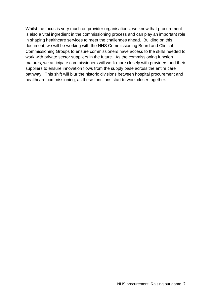Whilst the focus is very much on provider organisations, we know that procurement is also a vital ingredient in the commissioning process and can play an important role in shaping healthcare services to meet the challenges ahead. Building on this document, we will be working with the NHS Commissioning Board and Clinical Commissioning Groups to ensure commissioners have access to the skills needed to work with private sector suppliers in the future. As the commissioning function matures, we anticipate commissioners will work more closely with providers and their suppliers to ensure innovation flows from the supply base across the entire care pathway. This shift will blur the historic divisions between hospital procurement and healthcare commissioning, as these functions start to work closer together.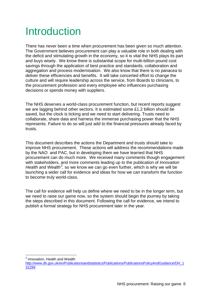# <span id="page-7-0"></span>Introduction

There has never been a time when procurement has been given so much attention. The Government believes procurement can play a valuable role in both dealing with the deficit and stimulating growth in the economy, so it is vital the NHS plays its part and buys wisely. We know there is substantial scope for multi-billion pound cost savings through the application of best practice and standards, collaboration and aggregation and process modernisation. We also know that there is no panacea to deliver these efficiencies and benefits. It will take concerted effort to change the culture and will require leadership across the service, from Boards to clinicians, to the procurement profession and every employee who influences purchasing decisions or spends money with suppliers.

The NHS deserves a world-class procurement function, but recent reports suggest we are lagging behind other sectors. It is estimated some £1.2 billion should be saved, but the clock is ticking and we need to start delivering. Trusts need to collaborate, share data and harness the immense purchasing power that the NHS represents. Failure to do so will just add to the financial pressures already faced by trusts.

This document describes the actions the Department and trusts should take to improve NHS procurement. These actions will address the recommendations made by the NAO and PAC, but in developing them we have learned that NHS procurement can do much more. We received many comments though engagement with stakeholders, and more comments leading up to the publication of *Innovation*  Health and Wealth<sup>[3](#page-5-2)</sup>, so we know we can go even further, which is why we will be launching a wider call for evidence and ideas for how we can transform the function to become truly world-class.

The call for evidence will help us define where we need to be in the longer term, but we need to raise our game now, so the system should begin the journey by taking the steps described in this document. Following the call for evidence, we intend to publish a formal strategy for NHS procurement later in the year.

<sup>3</sup> Innovation, Health and Wealth

<span id="page-7-1"></span>[http://www.dh.gov.uk/en/Publicationsandstatistics/Publications/PublicationsPolicyAndGuidance/DH\\_1](http://www.dh.gov.uk/en/Publicationsandstatistics/Publications/PublicationsPolicyAndGuidance/DH_131299) [31299](http://www.dh.gov.uk/en/Publicationsandstatistics/Publications/PublicationsPolicyAndGuidance/DH_131299)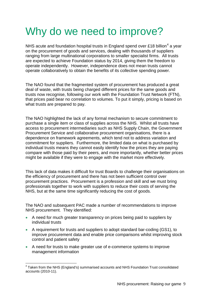# <span id="page-8-0"></span>Why do we need to improve?

NHS acute and foundation hospital trusts in England spend over £18 billion<sup>[4](#page-7-1)</sup> a year on the procurement of goods and services, dealing with thousands of suppliers ranging from large multinational corporations to smaller specialist firms. All trusts are expected to achieve Foundation status by 2014, giving them the freedom to operate independently. However, independence does not mean trusts cannot operate collaboratively to obtain the benefits of its collective spending power.

The NAO found that the fragmented system of procurement has produced a great deal of waste, with trusts being charged different prices for the same goods and trusts now recognise, following our work with the Foundation Trust Network (FTN), that prices paid bear no correlation to volumes. To put it simply, pricing is based on what trusts are prepared to pay.

The NAO highlighted the lack of any formal mechanism to secure commitment to purchase a single item or class of supplies across the NHS. Whilst all trusts have access to procurement intermediaries such as NHS Supply Chain, the Government Procurement Service and collaborative procurement organisations, there is a dependence on framework agreements, which tend not to address variation and commitment for suppliers. Furthermore, the limited data on what is purchased by individual trusts means they cannot easily identify how the prices they are paying compare with those paid by their peers, and more importantly, whether better prices might be available if they were to engage with the market more effectively.

This lack of data makes it difficult for trust Boards to challenge their organisations on the efficiency of procurement and there has not been sufficient control over procurement practices. Procurement is a profession and skill and we must bring professionals together to work with suppliers to reduce their costs of serving the NHS, but at the same time significantly reducing the cost of goods.

The NAO and subsequent PAC made a number of recommendations to improve NHS procurement. They identified:

- A need for much greater transparency on prices being paid to suppliers by individual trusts
- A requirement for trusts and suppliers to adopt standard bar-coding (GS1), to improve procurement data and enable price comparisons whilst improving stock control and patient safety
- <span id="page-8-1"></span>• A need for trusts to make greater use of e-commerce systems to improve management information

<sup>4</sup> Taken from the NHS (England's) summarised accounts and NHS Foundation Trust consolidated accounts (2010-11).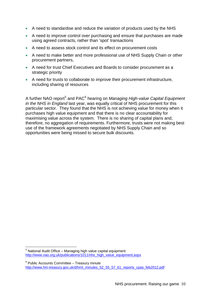- A need to standardise and reduce the variation of products used by the NHS
- A need to improve control over purchasing and ensure that purchases are made using agreed contracts, rather than 'spot' transactions
- A need to assess stock control and its effect on procurement costs
- A need to make better and more professional use of NHS Supply Chain or other procurement partners,
- A need for trust Chief Executives and Boards to consider procurement as a strategic priority
- A need for trusts to collaborate to improve their procurement infrastructure, including sharing of resources

A further NAO report[5](#page-8-1) and PAC[6](#page-9-0) hearing on *Managing High-value Capital Equipment in the NHS in England* last year, was equally critical of NHS procurement for this particular sector. They found that the NHS is not achieving value for money when it purchases high value equipment and that there is no clear accountability for maximising value across the system. There is no sharing of capital plans and, therefore, no aggregation of requirements. Furthermore, trusts were not making best use of the framework agreements negotiated by NHS Supply Chain and so opportunities were being missed to secure bulk discounts.

 $5$  National Audit Office – Managing high value capital equipment [http://www.nao.org.uk/publications/1011/nhs\\_high\\_value\\_equipment.aspx](http://www.nao.org.uk/publications/1011/nhs_high_value_equipment.aspx)

<span id="page-9-1"></span><span id="page-9-0"></span> $6$  Public Accounts Committee – Treasury minute [http://www.hm-treasury.gov.uk/d/hmt\\_minutes\\_52\\_55\\_57\\_61\\_reports\\_cpas\\_feb2012.pdf](http://www.hm-treasury.gov.uk/d/hmt_minutes_52_55_57_61_reports_cpas_feb2012.pdf)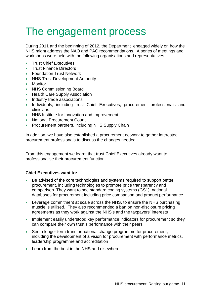# <span id="page-10-0"></span>The engagement process

During 2011 and the beginning of 2012, the Department engaged widely on how the NHS might address the NAO and PAC recommendations. A series of meetings and workshops were held with the following organisations and representatives.

- Trust Chief Executives
- Trust Finance Directors
- Foundation Trust Network
- NHS Trust Development Authority
- Monitor
- NHS Commissioning Board
- Health Care Supply Association
- Industry trade associations
- Individuals, including trust Chief Executives, procurement professionals and clinicians
- NHS Institute for Innovation and Improvement
- National Procurement Council
- Procurement partners, including NHS Supply Chain

In addition, we have also established a procurement network to gather interested procurement professionals to discuss the changes needed.

From this engagement we learnt that trust Chief Executives already want to professionalise their procurement function.

#### **Chief Executives want to:**

- Be advised of the core technologies and systems required to support better procurement, including technologies to promote price transparency and comparison. They want to see standard coding systems (GS1), national databases for procurement including price comparison and product performance
- Leverage commitment at scale across the NHS, to ensure the NHS purchasing muscle is utilised. They also recommended a ban on non-disclosure pricing agreements as they work against the NHS's and the taxpayers' interests
- Implement easily understood key performance indicators for procurement so they can compare their own trust's performance with their peers
- See a longer term transformational change programme for procurement, including the development of a vision for procurement with performance metrics, leadership programme and accreditation
- Learn from the best in the NHS and elsewhere.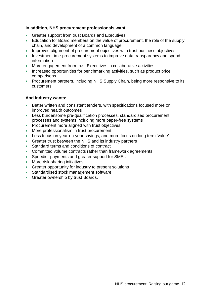#### **In addition, NHS procurement professionals want:**

- Greater support from trust Boards and Executives
- Education for Board members on the value of procurement, the role of the supply chain, and development of a common language
- Improved alignment of procurement objectives with trust business objectives
- Investment in e-procurement systems to improve data transparency and spend information
- More engagement from trust Executives in collaborative activities
- Increased opportunities for benchmarking activities, such as product price comparisons
- Procurement partners, including NHS Supply Chain, being more responsive to its customers.

#### **And Industry wants:**

- Better written and consistent tenders, with specifications focused more on improved health outcomes
- Less burdensome pre-qualification processes, standardised procurement processes and systems including more paper-free systems
- Procurement more aligned with trust objectives
- More professionalism in trust procurement
- Less focus on year-on-year savings, and more focus on long term 'value'
- Greater trust between the NHS and its industry partners
- Standard terms and conditions of contract
- Committed volume contracts rather than framework agreements
- Speedier payments and greater support for SMEs
- More risk-sharing initiatives
- Greater opportunity for industry to present solutions
- Standardised stock management software
- Greater ownership by trust Boards.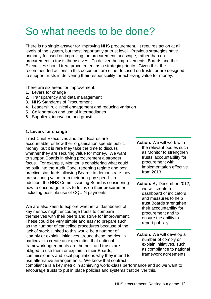# <span id="page-12-0"></span>So what needs to be done?

There is no single answer for improving NHS procurement. It requires action at all levels of the system, but most importantly at trust level. Previous strategies have primarily focused on improving the procurement landscape, rather than on procurement in trusts themselves. To deliver the improvements, Boards and their Executives should treat procurement as a strategic priority. Given this, the recommended actions in this document are either focused on trusts, or are designed to support trusts in delivering their responsibility for achieving value for money.

There are six areas for improvement:

- 1. Levers for change
- 2. Transparency and data management
- 3. NHS Standards of Procurement
- 4. Leadership, clinical engagement and reducing variation
- 5. Collaboration and use of intermediaries
- 6. Suppliers, innovation and growth

#### **1. Levers for change**

Trust Chief Executives and their Boards are accountable for how their organisation spends public money, but it is rare they take the time to discuss whether they are securing value for money. We want to support Boards in giving procurement a stronger focus. For example, Monitor is considering what could be built into the Audit Code, reporting regime and best practice standards allowing Boards to demonstrate they are securing value from their non-pay spend. In addition, the NHS Commissioning Board is considering how to encourage trusts to focus on their procurement, including possible use of CQUIN payments.

We are also keen to explore whether a 'dashboard' of key metrics might encourage trusts to compare themselves with their peers and strive for improvement. These could be very simple and easy to prepare such as the number of cancelled procedures because of the lack of stock. Linked to this would be a number of 'comply or explain' initiatives around these metrics, in particular to create an expectation that national framework agreements are the best and trusts are obliged to use them or explain to their Boards, commissioners and local populations why they intend to use alternative arrangements. We know that contract

**Action:** We will work with the relevant bodies such as Monitor to strengthen trusts' accountability for procurement with implementation effective from 2013

- **Action:** By December 2012, we will create a dashboard of indicators and measures to help trust Boards strengthen their accountability for procurement and to ensure the ability to report publicly
- **Action:** We will develop a number of comply or explain initiatives, such as compliance to national framework agreements

compliance is a key metric in achieving world-class performance and so we want to encourage trusts to put in place policies and systems that deliver this.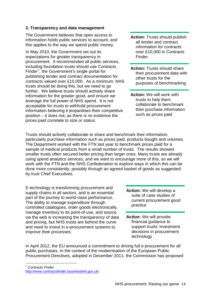#### **2. Transparency and data management**

The Government believes that open access to information holds public services to account, and this applies to the way we spend public money.

In May 2010, the Government set out its expectations for greater transparency in procurement. It recommended all public services, including foundation trusts should use Contracts Finder<sup>[7](#page-9-1)</sup>, the Government's single portal for publishing tender and contract documentation for contracts valued over £10,000. As a minimum, NHS trusts should be doing this, but we need to go further. We believe trusts should actively share information for the greater good, and ensure we leverage the full power of NHS spend. It is not acceptable for trusts to withhold procurement information believing it jeopardises their competitive position – it does not, as there is no evidence the prices paid correlate to size or status.

- **Action:** Trusts should publish all tender and contract information for contracts over £10,000 in Contracts Finder
- **Action:** Trusts should share their procurement data with other trusts for the purposes of benchmarking
- **Action:** We will work with trusts to help them collaborate to benchmark their purchase information such as prices paid

Trusts should actively collaborate to share and benchmark their information, particularly purchase information such as prices paid, products bought and volumes. The Department worked with the FTN last year to benchmark prices paid for a sample of medical products from a small number of trusts. The results showed smaller trusts often secured better pricing than larger ones. Many trusts are already using spend analytics services, and we want to encourage more of this, so we will work with the FTN and the NHS Confederation to explore ways in which this can be done more consistently, possibly through an agreed basket of goods as suggested by trust Chief Executives.

E-technology is transforming procurement and supply chains in all sectors, and is an essential part of the journey to world-class performance. The ability to manage expenditure through controlled catalogues, order goods electronically, manage inventory to its point-of-use, and source via the web is increasing the transparency of data and pricing, but NHS trusts are behind the curve and need to invest in e-procurement systems to improve their processes.

- **Action:** We will develop a suite of case studies of current procurement good practice
- **Action:** We will provide financial guidance to support trusts' investment decisions in procurement technology

In April 2012, the EU announced a commitment to driving full e-procurement for all public purchases. In the context of the modernisation of the European Public Procurement Directives, adopted in December 2011, the Commission has proposed

<span id="page-13-0"></span> <sup>7</sup> Contracts Finder <http://www.contractsfinder.businesslink.gov.uk/>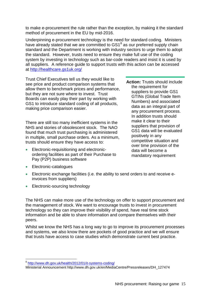to make e-procurement the rule rather than the exception, by making it the standard method of procurement in the EU by mid-2016.

Underpinning e-procurement technology is the need for standard coding. Ministers have already stated that we are committed to GS1<sup>[8](#page-13-0)</sup> as our preferred supply chain standard and the Department is working with industry sectors to urge them to adopt the standard. However, trusts need to ensure they make full use of the coding system by investing in technology such as bar-code readers and insist it is used by all suppliers. A reference guide to support trusts with this action can be accessed at<http://healthcare.gs1uk.org/>

Trust Chief Executives tell us they would like to see price and product comparison systems that allow them to benchmark prices and performance, but they are not sure where to invest. Trust Boards can easily play their part by working with GS1 to introduce standard coding of all products, making price comparison easier.

There are still too many inefficient systems in the NHS and stories of obsolescent stock. The NAO found that much trust purchasing is administered in multiple, small purchase orders. As a minimum, trusts should ensure they have access to:

• Electronic-requisitioning and electronicordering facilities as part of their Purchase to Pay (P2P) business software

**Action:** Trusts should include the requirement for suppliers to provide GS1 GTINs (Global Trade Item Numbers) and associated data as an integral part of any procurement process. In addition trusts should make it clear to their suppliers that provision of GS1 data will be evaluated positively in any competitive situation and over time provision of the data will become a mandatory requirement

- Electronic-catalogues
- Electronic exchange facilities (i.e. the ability to send orders to and receive einvoices from suppliers)
- Electronic-sourcing technology

The NHS can make more use of the technology on offer to support procurement and the management of stock. We want to encourage trusts to invest in procurement technology so they can improve their visibility of spend, have real time stock information and be able to share information and compare themselves with their peers.

Whilst we know the NHS has a long way to go to improve its procurement processes and systems, we also know there are pockets of good practice and we will ensure that trusts have access to case studies which demonstrate current best practice.

<sup>8</sup> <http://www.dh.gov.uk/health/2012/01/it-systems-coding/>

<span id="page-14-0"></span>Ministerial Announcement http://www.dh.gov.uk/en/MediaCentre/Pressreleases/DH\_127474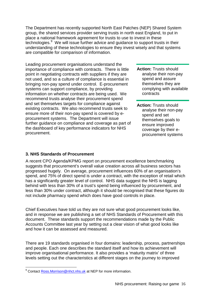The Department has recently supported North East Patches (NEP) Shared System group, the shared services provider serving trusts in north east England, to put in place a national framework agreement for trusts to use to invest in these technologies.<sup>[9](#page-14-0)</sup> We will issue further advice and guidance to support trusts in their understanding of these technologies to ensure they invest wisely and that systems are compatible for comparison of information.

Leading procurement organisations understand the importance of compliance with contracts. There is little point in negotiating contracts with suppliers if they are not used, and so a culture of compliance is essential in bringing non-pay spend under control. E-procurement systems can support compliance, by providing information on whether contracts are being used. We recommend trusts analyse their procurement spend and set themselves targets for compliance against existing contracts. We also recommend trusts seek to ensure more of their non-pay spend is covered by eprocurement systems. The Department will issue further guidance on compliance and coverage as part of the dashboard of key performance indicators for NHS procurement.

- **Action:** Trusts should analyse their non-pay spend and assure themselves they are complying with available contracts
- **Action:** Trusts should analyse their non-pay spend and set themselves goals to ensure improved coverage by their eprocurement systems

#### **3. NHS Standards of Procurement**

A recent CPO Agenda/KPMG report on procurement excellence benchmarking suggests that procurement's overall value creation across all business sectors has progressed hugely. On average, procurement influences 60% of an organisation's spend, and 75% of direct spend is under a contract, with the exception of retail which has a significantly greater level of control. NHS data suggest the NHS is lagging behind with less than 30% of a trust's spend being influenced by procurement, and less than 30% under contract, although it should be recognised that these figures do not include pharmacy spend which does have good controls in place.

Chief Executives have told us they are not sure what good procurement looks like, and in response we are publishing a set of NHS Standards of Procurement with this document. These standards support the recommendations made by the Public Accounts Committee last year by setting out a clear vision of what good looks like and how it can be assessed and measured.

There are 19 standards organised in four domains: leadership, process, partnerships and people. Each one describes the standard itself and how its achievement will improve organisational performance. It also provides a 'maturity matrix' of three levels setting out the characteristics at different stages on the journey to improved

<span id="page-15-0"></span><sup>&</sup>lt;sup>9</sup> Contact [Ross.Morrison@nhct.nhs.uk](mailto:Ross.Morrison@nhct.nhs.uk_) at NEP for more information.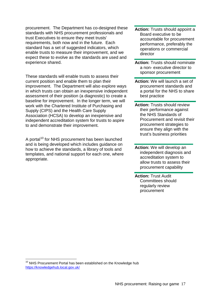procurement. The Department has co-designed these standards with NHS procurement professionals and trust Executives to ensure they meet trusts' requirements, both now and in the future. Each standard has a set of suggested indicators, which enable trusts to measure their improvement, and we expect these to evolve as the standards are used and experience shared.

These standards will enable trusts to assess their current position and enable them to plan their improvement. The Department will also explore ways in which trusts can obtain an inexpensive independent assessment of their position (a diagnostic) to create a baseline for improvement. In the longer term, we will work with the Chartered Institute of Purchasing and Supply (CIPS) and the Health Care Supply Association (HCSA) to develop an inexpensive and independent accreditation system for trusts to aspire to and demonstrate their improvement.

A portal<sup>[10](#page-15-0)</sup> for NHS procurement has been launched and is being developed which includes guidance on how to achieve the standards, a library of tools and templates, and national support for each one, where appropriate.

- **Action:** Trusts should appoint a Board executive to be accountable for procurement performance, preferably the operations or commercial director
- **Action:** Trusts should nominate a non- executive director to sponsor procurement
- **Action:** We will launch a set of procurement standards and a portal for the NHS to share best practice
- **Action: Trusts should review** their performance against the NHS Standards of Procurement and revisit their procurement strategies to ensure they align with the trust's business priorities
- **Action:** We will develop an independent diagnosis and accreditation system to allow trusts to assess their procurement capability
- **Action:** Trust Audit Committees should regularly review procurement

<span id="page-16-0"></span><sup>&</sup>lt;sup>10</sup> NHS Procurement Portal has been established on the Knowledge hub <https://knowledgehub.local.gov.uk/>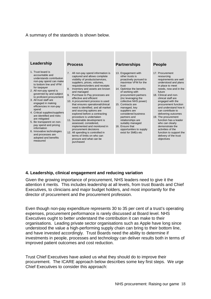#### A summary of the standards is shown below.



#### **4. Leadership, clinical engagement and reducing variation**

Given the growing importance of procurement, NHS leaders need to give it the attention it merits. This includes leadership at all levels, from trust Boards and Chief Executives, to clinicians and major budget holders, and most importantly for the director of procurement and the procurement profession.

Even though non-pay expenditure represents 30 to 35 per cent of a trust's operating expenses, procurement performance is rarely discussed at Board level. NHS Executives ought to better understand the contribution it can make to their organisations. Leading private sector organisations such as Apple have long since understood the value a high-performing supply chain can bring to their bottom line, and have invested accordingly. Trust Boards need the ability to determine if investments in people, processes and technology can deliver results both in terms of improved patient outcomes and cost reduction.

Trust Chief Executives have asked us what they should do to improve their procurement. The ICARE approach below describes some key first steps. We urge Chief Executives to consider this approach: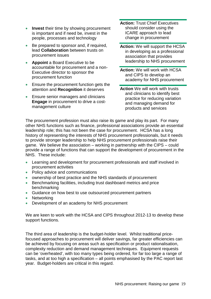- **Invest** their time by showing procurement is important and if need be, invest in the people, processes and technology
- Be prepared to sponsor and, if required, lead **Collaboration** between trusts on procurement issues
- **Appoint** a Board Executive to be accountable for procurement and a non-Executive director to sponsor the procurement function
- Ensure the procurement function gets the attention and **Recognition** it deserves
- Ensure senior managers and clinicians **Engage** in procurement to drive a costmanagement culture
- **Action:** Trust Chief Executives should consider using the ICARE approach to lead change in procurement
- **Action:** We will support the HCSA in developing as a professional association that provides leadership to NHS procurement
- **Action:** We will work with HCSA and CIPS to develop an academy for NHS procurement
- **Action** We will work with trusts and clinicians to identify best practice for reducing variation and managing demand for products and services

The procurement profession must also raise its game and play its part. For many other NHS functions such as finance, professional associations provide an essential leadership role; this has not been the case for procurement. HCSA has a long history of representing the interests of NHS procurement professionals, but it needs to provide stronger leadership to help NHS procurement professionals raise their game. We believe the association – working in partnership with the CIPS – could provide a range of functions that can support the development of procurement in the NHS. These include:

- Learning and development for procurement professionals and staff involved in procurement activities
- Policy advice and communications
- ownership of best practice and the NHS standards of procurement
- Benchmarking facilities, including trust dashboard metrics and price benchmarking
- Guidance on how best to use outsourced procurement partners
- Networking
- Development of an academy for NHS procurement

We are keen to work with the HCSA and CIPS throughout 2012-13 to develop these support functions.

The third area of leadership is the budget-holder level. Whilst traditional pricefocused approaches to procurement will deliver savings, far greater efficiencies can be achieved by focusing on areas such as specification or product rationalisation, complexity reduction and demand management techniques. Equipment requests can be 'overheated', with too many types being ordered, for far too large a range of tasks, and at too high a specification – all points emphasised by the PAC report last year. Budget-holders are critical in this regard.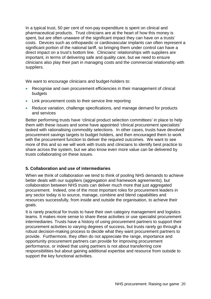In a typical trust, 50 per cent of non-pay expenditure is spent on clinical and pharmaceutical products. Trust clinicians are at the heart of how this money is spent, but are often unaware of the significant impact they can have on a trusts' costs. Devices such as orthopaedic or cardiovascular implants can often represent a significant portion of the national tariff, so bringing them under control can have a direct impact on a trust's bottom line. Clinicians' relationships with suppliers are important, in terms of delivering safe and quality care, but we need to ensure clinicians also play their part in managing costs and the commercial relationship with suppliers.

We want to encourage clinicians and budget-holders to:

- Recognise and own procurement efficiencies in their management of clinical budgets
- Link procurement costs to their service line reporting
- Reduce variation, challenge specifications, and manage demand for products and services

Better performing trusts have 'clinical product selection committees' in place to help them with these issues and some have appointed 'clinical procurement specialists' tasked with rationalising commodity selections. In other cases, trusts have devolved procurement savings targets to budget holders, and then encouraged them to work with the procurement function to deliver the required outcomes. We want to see more of this and so we will work with trusts and clinicians to identify best practice to share across the system, but we also know even more value can be delivered by trusts collaborating on these issues.

#### **5. Collaboration and use of intermediaries**

When we think of collaboration we tend to think of pooling NHS demands to achieve better deals with our suppliers (aggregation and framework agreements), but collaboration between NHS trusts can deliver much more that just aggregated procurement. Indeed, one of the most important roles for procurement leaders in any sector today is to source, manage, combine and blend capabilities and resources successfully, from inside and outside the organisation, to achieve their goals.

It is rarely practical for trusts to have their own category management and logistics teams. It makes more sense to share these activities or use specialist procurement intermediaries. Trusts have a history of using procurement partners to support their procurement activities to varying degrees of success, but trusts rarely go through a robust decision-making process to decide what they want procurement partners to provide. Furthermore, they often do not appreciate the range, importance and opportunity procurement partners can provide for improving procurement performance, or indeed that using partners is not about transferring core responsibilities but about gaining additional expertise and resource from outside to support the key functional activities.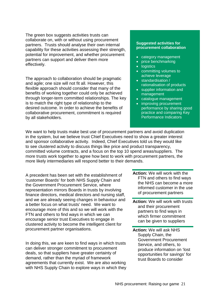The green box suggests activities trusts can collaborate on, with or without using procurement partners. Trusts should analyse their own internal capability for these activities assessing their strength, potential for improvement, and whether procurement partners can support and deliver them more effectively.

The approach to collaboration should be pragmatic and agile; one size will not fit all. However, this flexible approach should consider that many of the benefits of working together could only be achieved through longer-term committed relationships. The key is to match the right type of relationship to the desired outcome. In order to achieve the benefits of collaborative procurement, commitment is required by all stakeholders.

#### **Suggested activities for procurement collaboration**

- category management
- price benchmarking
- logistics
- committing volumes to achieve leverage
- standardisation / rationalisation of products
- supplier information and management
- catalogue management
- improving procurement performance by sharing good practice and comparing Key Performance Indicators

We want to help trusts make best use of procurement partners and avoid duplication in the system, but we believe trust Chief Executives need to show a greater interest and sponsor collaborative activity. Indeed, Chief Executives told us they would like to see clustered activity to discuss things like price and product transparency, committed volume contracts, and a focus on the top 10 spend areas/suppliers. The more trusts work together to agree how best to work with procurement partners, the more likely intermediaries will respond better to their demands.

A precedent has been set with the establishment of 'customer Boards' for both NHS Supply Chain and the Government Procurement Service, where representation mirrors Boards in trusts by involving finance directors, medical directors and nursing staff, and we are already seeing changes in behaviour and a better focus on what trusts' need. We want to encourage more of this and so we will work with the FTN and others to find ways in which we can encourage senior trust Executives to engage in clustered activity to become the intelligent client for procurement partner organisations.

In doing this, we are keen to find ways in which trusts can deliver stronger commitment to procurement deals, so that suppliers have greater certainty of demand, rather than the myriad of framework agreements that currently exist. We are also working with NHS Supply Chain to explore ways in which they

- **Action:** We will work with the FTN and others to find ways the NHS can become a more informed customer in the use of procurement partners
- **Action:** We will work with trusts and their procurement partners to find ways in which firmer commitment can be given to suppliers
- **Action:** We will ask NHS Supply Chain, the Government Procurement Service, and others, to produce information on 'lost opportunities for savings' for trust Boards to consider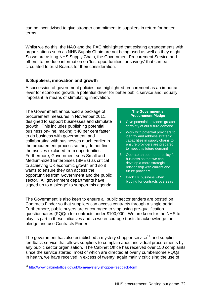can be incentivised to give stronger commitment to suppliers in return for better terms.

Whilst we do this, the NAO and the PAC highlighted that existing arrangements with organisations such as NHS Supply Chain are not being used as well as they might. So we are asking NHS Supply Chain, the Government Procurement Service and others, to produce information on 'lost opportunities for savings' that can be circulated to trust Boards for their consideration.

#### **6. Suppliers, innovation and growth**

A succession of government policies has highlighted procurement as an important lever for economic growth, a potential driver for better public service and, equally important, a means of stimulating innovation.

The Government announced a package of procurement measures in November 2011, designed to support businesses and stimulate growth. This includes publishing potential business on-line, making it 40 per cent faster to do business with government, and collaborating with businesses much earlier in the procurement process so they do not find themselves excluded from opportunities. Furthermore, Government sees Small and Medium-sized Enterprises (SMEs) as critical to achieving UK economic growth and so it wants to ensure they can access the opportunities from Government and the public sector. All government departments have signed up to a 'pledge' to support this agenda.

#### **The Government's Procurement Pledge**

- 1. Give potential providers greater certainty of our future demand
- 2. Work with potential providers to identify and address strategic capabilities in supply chains to ensure providers are prepared to meet this future demand
- 3. Operate an open door policy for business so that we can develop a more strategic relationship with current and future providers
- 4. Back UK business when bidding for contracts overseas

The Government is also keen to ensure all public sector tenders are posted on Contracts Finder so that suppliers can access contracts through a single portal. Furthermore, public buyers are encouraged to stop using pre-qualification questionnaires (PQQs) for contracts under £100,000. We are keen for the NHS to play its part in these initiatives and so we encourage trusts to acknowledge the pledge and use Contracts Finder.

The government has also established a mystery shopper service<sup>[11](#page-16-0)</sup> and supplier feedback service that allows suppliers to complain about individual procurements by any public sector organisation. The Cabinet Office has received over 150 complaints since the service started, most of which are directed at overly cumbersome PQQs. In health, we have received in excess of twenty, again mainly criticising the use of

<sup>11</sup> <http://www.cabinetoffice.gov.uk/form/mystery-shopper-feedback-form>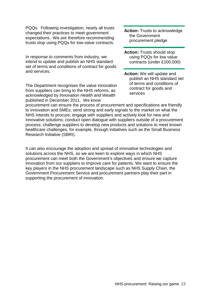PQQs. Following investigation, nearly all trusts changed their practices to meet government expectations. We are therefore recommending trusts stop using PQQs for low-value contracts.

In response to comments from industry, we intend to update and publish an NHS standard set of terms and conditions of contract for goods and services.

The Department recognises the value innovation from suppliers can bring to the NHS reforms, as acknowledged by *Innovation Health and Wealth* published in December 2011. We know

**Action:** Trusts to acknowledge the Government procurement pledge

**Action:** Trusts should stop using PQQs for low value contracts (under £100,000)

**Action:** We will update and publish an NHS standard set of terms and conditions of contract for goods and services

procurement can ensure the process of procurement and specifications are friendly to innovation and SMEs; send strong and early signals to the market on what the NHS intends to procure; engage with suppliers and actively look for new and innovative solutions; conduct open dialogue with suppliers outside of a procurement process; challenge suppliers to develop new products and solutions to meet known healthcare challenges, for example, through initiatives such as the Small Business Research Initiative (SBRI).

It can also encourage the adoption and spread of innovative technologies and solutions across the NHS, so we are keen to explore ways in which NHS procurement can meet both the Government's objectives and ensure we capture innovation from our suppliers to improve care for patients. We want to ensure the key players in the NHS procurement landscape such as NHS Supply Chain, the Government Procurement Service and procurement partners play their part in supporting the procurement of innovation.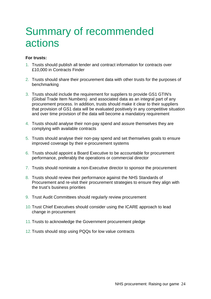### <span id="page-23-0"></span>Summary of recommended actions

#### **For trusts:**

- 1. Trusts should publish all tender and contract information for contracts over £10,000 in Contracts Finder
- 2. Trusts should share their procurement data with other trusts for the purposes of benchmarking
- 3. Trusts should include the requirement for suppliers to provide GS1 GTIN's (Global Trade Item Numbers) and associated data as an integral part of any procurement process. In addition, trusts should make it clear to their suppliers that provision of GS1 data will be evaluated positively in any competitive situation and over time provision of the data will become a mandatory requirement
- 4. Trusts should analyse their non-pay spend and assure themselves they are complying with available contracts
- 5. Trusts should analyse their non-pay spend and set themselves goals to ensure improved coverage by their e-procurement systems
- 6. Trusts should appoint a Board Executive to be accountable for procurement performance, preferably the operations or commercial director
- 7. Trusts should nominate a non-Executive director to sponsor the procurement
- 8. Trusts should review their performance against the NHS Standards of Procurement and re-visit their procurement strategies to ensure they align with the trust's business priorities
- 9. Trust Audit Committees should regularly review procurement
- 10.Trust Chief Executives should consider using the ICARE approach to lead change in procurement
- 11.Trusts to acknowledge the Government procurement pledge
- 12.Trusts should stop using PQQs for low value contracts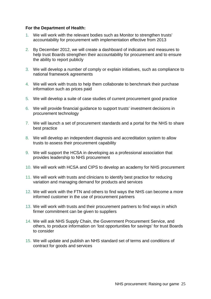#### **For the Department of Health:**

- 1. We will work with the relevant bodies such as Monitor to strengthen trusts' accountability for procurement with implementation effective from 2013
- 2. By December 2012, we will create a dashboard of indicators and measures to help trust Boards strengthen their accountability for procurement and to ensure the ability to report publicly
- 3. We will develop a number of comply or explain initiatives, such as compliance to national framework agreements
- 4. We will work with trusts to help them collaborate to benchmark their purchase information such as prices paid
- 5. We will develop a suite of case studies of current procurement good practice
- 6. We will provide financial guidance to support trusts' investment decisions in procurement technology
- 7. We will launch a set of procurement standards and a portal for the NHS to share best practice
- 8. We will develop an independent diagnosis and accreditation system to allow trusts to assess their procurement capability
- 9. We will support the HCSA in developing as a professional association that provides leadership to NHS procurement
- 10. We will work with HCSA and CIPS to develop an academy for NHS procurement
- 11. We will work with trusts and clinicians to identify best practice for reducing variation and managing demand for products and services
- 12. We will work with the FTN and others to find ways the NHS can become a more informed customer in the use of procurement partners
- 13. We will work with trusts and their procurement partners to find ways in which firmer commitment can be given to suppliers
- 14. We will ask NHS Supply Chain, the Government Procurement Service, and others, to produce information on 'lost opportunities for savings' for trust Boards to consider
- 15. We will update and publish an NHS standard set of terms and conditions of contract for goods and services